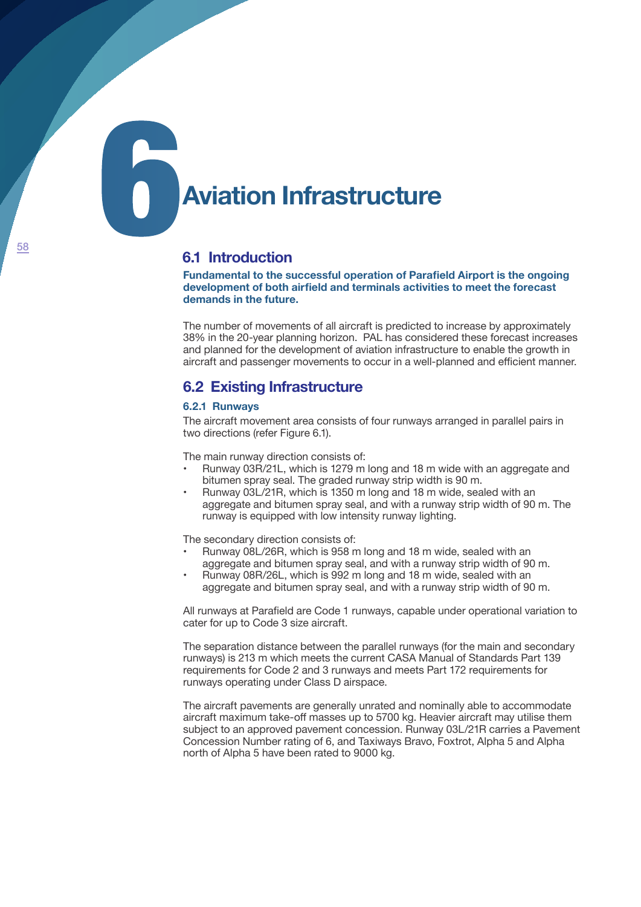# **Aviation Infrastructure**

# **6.1 Introduction**

**Fundamental to the successful operation of Parafield Airport is the ongoing development of both airfield and terminals activities to meet the forecast demands in the future.**

The number of movements of all aircraft is predicted to increase by approximately 38% in the 20-year planning horizon. PAL has considered these forecast increases and planned for the development of aviation infrastructure to enable the growth in aircraft and passenger movements to occur in a well-planned and efficient manner.

# **6.2 Existing Infrastructure**

# **6.2.1 Runways**

The aircraft movement area consists of four runways arranged in parallel pairs in two directions (refer Figure 6.1).

The main runway direction consists of:

- Runway 03R/21L, which is 1279 m long and 18 m wide with an aggregate and bitumen spray seal. The graded runway strip width is 90 m.
- Runway 03L/21R, which is 1350 m long and 18 m wide, sealed with an aggregate and bitumen spray seal, and with a runway strip width of 90 m. The runway is equipped with low intensity runway lighting.

The secondary direction consists of:

- Runway 08L/26R, which is 958 m long and 18 m wide, sealed with an aggregate and bitumen spray seal, and with a runway strip width of 90 m.
- Runway 08R/26L, which is 992 m long and 18 m wide, sealed with an aggregate and bitumen spray seal, and with a runway strip width of 90 m.

All runways at Parafield are Code 1 runways, capable under operational variation to cater for up to Code 3 size aircraft.

The separation distance between the parallel runways (for the main and secondary runways) is 213 m which meets the current CASA Manual of Standards Part 139 requirements for Code 2 and 3 runways and meets Part 172 requirements for runways operating under Class D airspace.

The aircraft pavements are generally unrated and nominally able to accommodate aircraft maximum take-off masses up to 5700 kg. Heavier aircraft may utilise them subject to an approved pavement concession. Runway 03L/21R carries a Pavement Concession Number rating of 6, and Taxiways Bravo, Foxtrot, Alpha 5 and Alpha north of Alpha 5 have been rated to 9000 kg.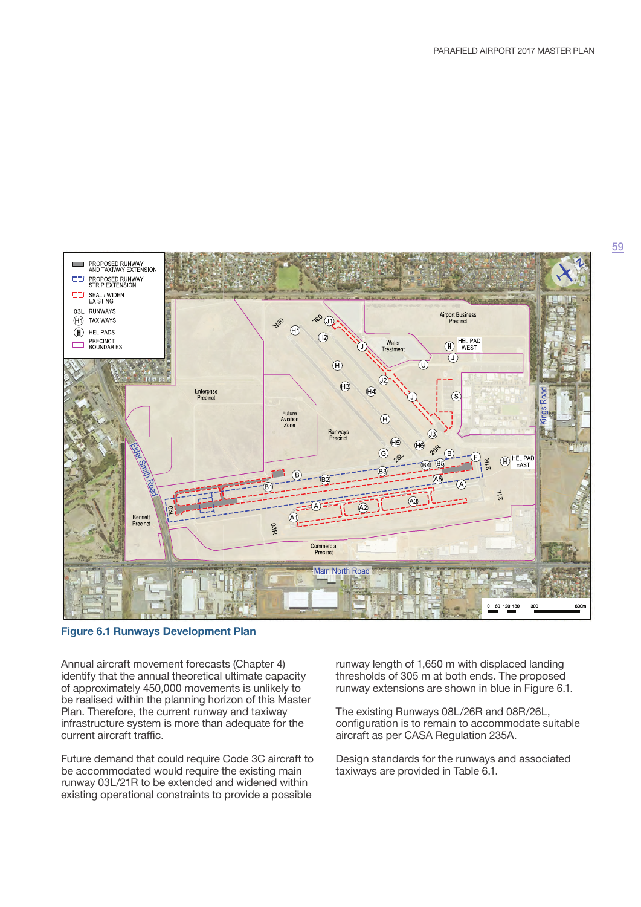

**Figure 6.1 Runways Development Plan**

Annual aircraft movement forecasts (Chapter 4) identify that the annual theoretical ultimate capacity of approximately 450,000 movements is unlikely to be realised within the planning horizon of this Master Plan. Therefore, the current runway and taxiway infrastructure system is more than adequate for the current aircraft traffic.

Future demand that could require Code 3C aircraft to be accommodated would require the existing main runway 03L/21R to be extended and widened within existing operational constraints to provide a possible

runway length of 1,650 m with displaced landing thresholds of 305 m at both ends. The proposed runway extensions are shown in blue in Figure 6.1.

The existing Runways 08L/26R and 08R/26L, configuration is to remain to accommodate suitable aircraft as per CASA Regulation 235A.

Design standards for the runways and associated taxiways are provided in Table 6.1.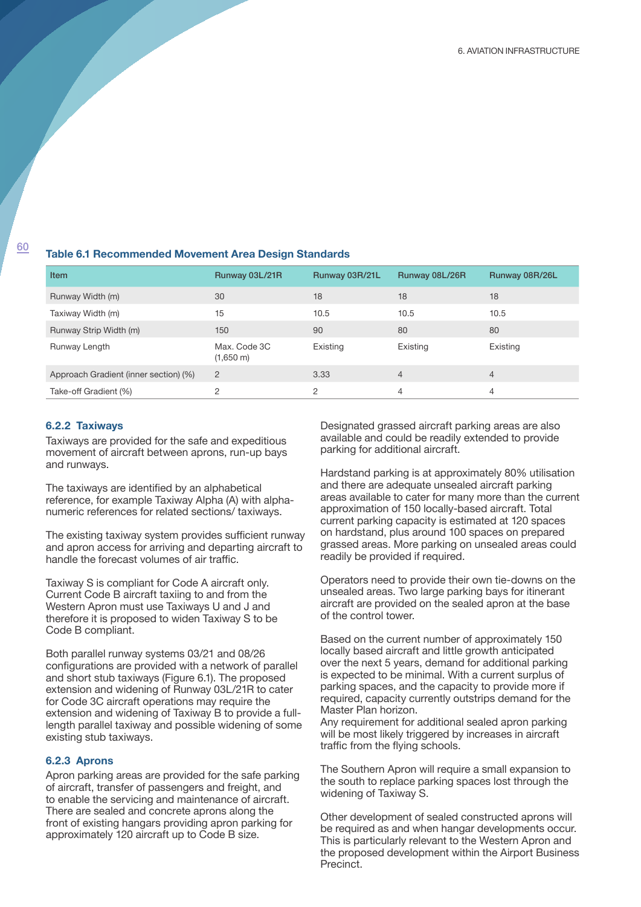# <sup>60</sup> **Table 6.1 Recommended Movement Area Design Standards**

| <b>Item</b>                           | Runway 03L/21R                      | Runway 03R/21L | Runway 08L/26R | Runway 08R/26L |
|---------------------------------------|-------------------------------------|----------------|----------------|----------------|
| Runway Width (m)                      | 30                                  | 18             | 18             | 18             |
| Taxiway Width (m)                     | 15                                  | 10.5           | 10.5           | 10.5           |
| Runway Strip Width (m)                | 150                                 | 90             | 80             | 80             |
| Runway Length                         | Max. Code 3C<br>$(1,650 \text{ m})$ | Existing       | Existing       | Existing       |
| Approach Gradient (inner section) (%) | $\overline{2}$                      | 3.33           | $\overline{4}$ | 4              |
| Take-off Gradient (%)                 | 2                                   | 2              | $\overline{4}$ | 4              |

### **6.2.2 Taxiways**

Taxiways are provided for the safe and expeditious movement of aircraft between aprons, run-up bays and runways.

The taxiways are identified by an alphabetical reference, for example Taxiway Alpha (A) with alphanumeric references for related sections/ taxiways.

The existing taxiway system provides sufficient runway and apron access for arriving and departing aircraft to handle the forecast volumes of air traffic.

Taxiway S is compliant for Code A aircraft only. Current Code B aircraft taxiing to and from the Western Apron must use Taxiways U and J and therefore it is proposed to widen Taxiway S to be Code B compliant.

Both parallel runway systems 03/21 and 08/26 configurations are provided with a network of parallel and short stub taxiways (Figure 6.1). The proposed extension and widening of Runway 03L/21R to cater for Code 3C aircraft operations may require the extension and widening of Taxiway B to provide a fulllength parallel taxiway and possible widening of some existing stub taxiways.

## **6.2.3 Aprons**

Apron parking areas are provided for the safe parking of aircraft, transfer of passengers and freight, and to enable the servicing and maintenance of aircraft. There are sealed and concrete aprons along the front of existing hangars providing apron parking for approximately 120 aircraft up to Code B size.

Designated grassed aircraft parking areas are also available and could be readily extended to provide parking for additional aircraft.

Hardstand parking is at approximately 80% utilisation and there are adequate unsealed aircraft parking areas available to cater for many more than the current approximation of 150 locally-based aircraft. Total current parking capacity is estimated at 120 spaces on hardstand, plus around 100 spaces on prepared grassed areas. More parking on unsealed areas could readily be provided if required.

Operators need to provide their own tie-downs on the unsealed areas. Two large parking bays for itinerant aircraft are provided on the sealed apron at the base of the control tower.

Based on the current number of approximately 150 locally based aircraft and little growth anticipated over the next 5 years, demand for additional parking is expected to be minimal. With a current surplus of parking spaces, and the capacity to provide more if required, capacity currently outstrips demand for the Master Plan horizon.

Any requirement for additional sealed apron parking will be most likely triggered by increases in aircraft traffic from the flying schools.

The Southern Apron will require a small expansion to the south to replace parking spaces lost through the widening of Taxiway S.

Other development of sealed constructed aprons will be required as and when hangar developments occur. This is particularly relevant to the Western Apron and the proposed development within the Airport Business Precinct.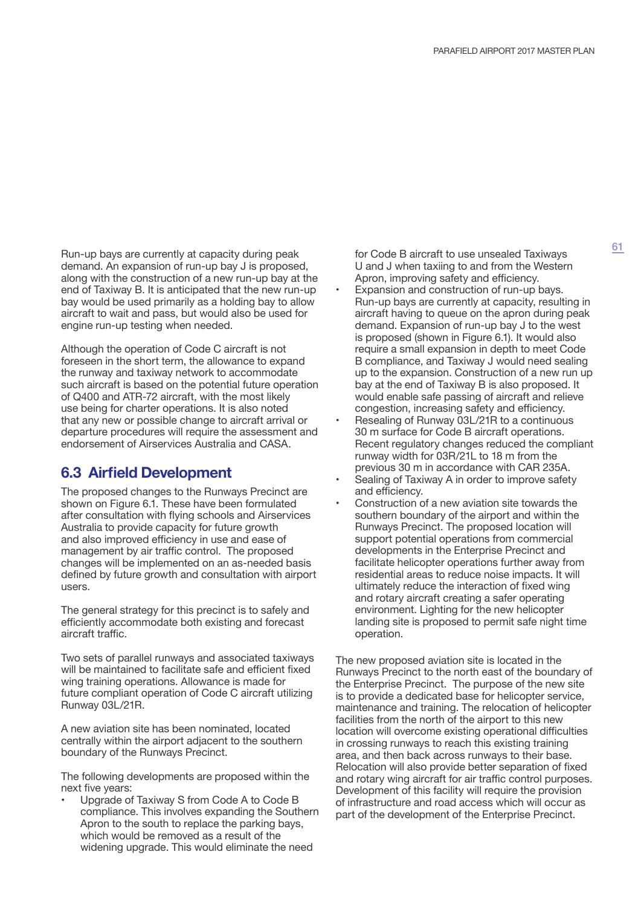Run-up bays are currently at capacity during peak demand. An expansion of run-up bay J is proposed, along with the construction of a new run-up bay at the end of Taxiway B. It is anticipated that the new run-up bay would be used primarily as a holding bay to allow aircraft to wait and pass, but would also be used for engine run-up testing when needed.

Although the operation of Code C aircraft is not foreseen in the short term, the allowance to expand the runway and taxiway network to accommodate such aircraft is based on the potential future operation of Q400 and ATR-72 aircraft, with the most likely use being for charter operations. It is also noted that any new or possible change to aircraft arrival or departure procedures will require the assessment and endorsement of Airservices Australia and CASA.

# **6.3 Airfield Development**

The proposed changes to the Runways Precinct are shown on Figure 6.1. These have been formulated after consultation with flying schools and Airservices Australia to provide capacity for future growth and also improved efficiency in use and ease of management by air traffic control. The proposed changes will be implemented on an as-needed basis defined by future growth and consultation with airport users.

The general strategy for this precinct is to safely and efficiently accommodate both existing and forecast aircraft traffic.

Two sets of parallel runways and associated taxiways will be maintained to facilitate safe and efficient fixed wing training operations. Allowance is made for future compliant operation of Code C aircraft utilizing Runway 03L/21R.

A new aviation site has been nominated, located centrally within the airport adjacent to the southern boundary of the Runways Precinct.

The following developments are proposed within the next five years:

• Upgrade of Taxiway S from Code A to Code B compliance. This involves expanding the Southern Apron to the south to replace the parking bays, which would be removed as a result of the widening upgrade. This would eliminate the need

for Code B aircraft to use unsealed Taxiways U and J when taxiing to and from the Western Apron, improving safety and efficiency.

- Expansion and construction of run-up bays. Run-up bays are currently at capacity, resulting in aircraft having to queue on the apron during peak demand. Expansion of run-up bay J to the west is proposed (shown in Figure 6.1). It would also require a small expansion in depth to meet Code B compliance, and Taxiway J would need sealing up to the expansion. Construction of a new run up bay at the end of Taxiway B is also proposed. It would enable safe passing of aircraft and relieve congestion, increasing safety and efficiency.
- Resealing of Runway 03L/21R to a continuous 30 m surface for Code B aircraft operations. Recent regulatory changes reduced the compliant runway width for 03R/21L to 18 m from the previous 30 m in accordance with CAR 235A.
- Sealing of Taxiway A in order to improve safety and efficiency.
- Construction of a new aviation site towards the southern boundary of the airport and within the Runways Precinct. The proposed location will support potential operations from commercial developments in the Enterprise Precinct and facilitate helicopter operations further away from residential areas to reduce noise impacts. It will ultimately reduce the interaction of fixed wing and rotary aircraft creating a safer operating environment. Lighting for the new helicopter landing site is proposed to permit safe night time operation.

The new proposed aviation site is located in the Runways Precinct to the north east of the boundary of the Enterprise Precinct. The purpose of the new site is to provide a dedicated base for helicopter service, maintenance and training. The relocation of helicopter facilities from the north of the airport to this new location will overcome existing operational difficulties in crossing runways to reach this existing training area, and then back across runways to their base. Relocation will also provide better separation of fixed and rotary wing aircraft for air traffic control purposes. Development of this facility will require the provision of infrastructure and road access which will occur as part of the development of the Enterprise Precinct.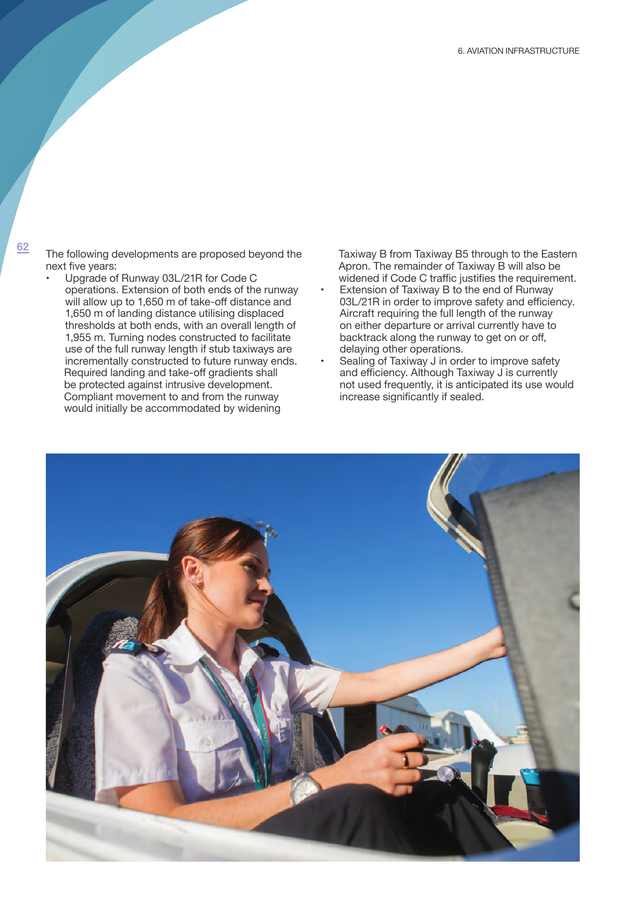$\frac{62}{2}$  The following developments are proposed beyond the next five years:

• Upgrade of Runway 03L/21R for Code C operations. Extension of both ends of the runway will allow up to 1,650 m of take-off distance and 1,650 m of landing distance utilising displaced thresholds at both ends, with an overall length of 1,955 m. Turning nodes constructed to facilitate use of the full runway length if stub taxiways are incrementally constructed to future runway ends. Required landing and take-off gradients shall be protected against intrusive development. Compliant movement to and from the runway would initially be accommodated by widening

Taxiway B from Taxiway B5 through to the Eastern Apron. The remainder of Taxiway B will also be widened if Code C traffic justifies the requirement.

- Extension of Taxiway B to the end of Runway 03L/21R in order to improve safety and efficiency. Aircraft requiring the full length of the runway on either departure or arrival currently have to backtrack along the runway to get on or off, delaying other operations.
- Sealing of Taxiway J in order to improve safety and efficiency. Although Taxiway J is currently not used frequently, it is anticipated its use would increase significantly if sealed.